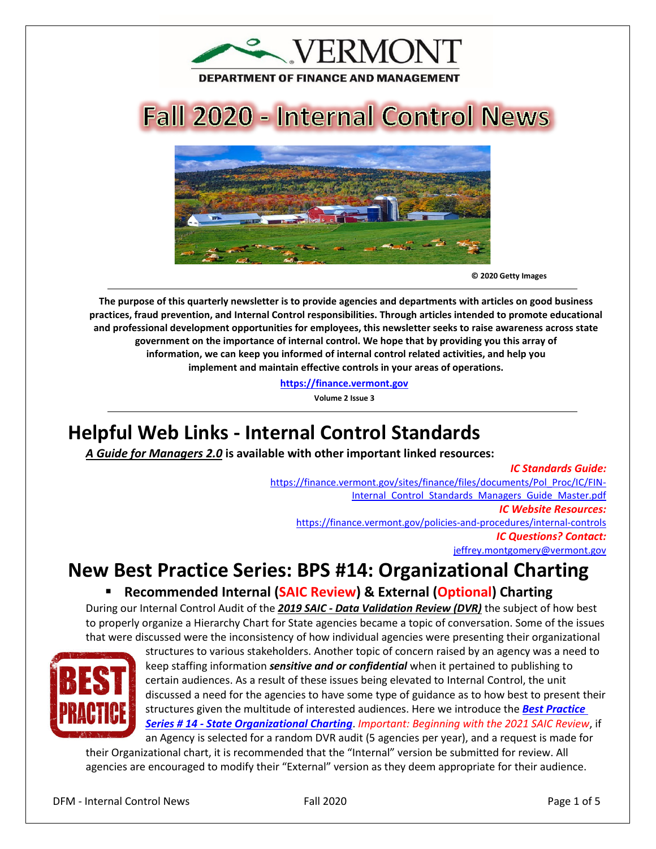

# **Fall 2020 - Internal Control News**



**© 2020 Getty Images** 

**The purpose of this quarterly newsletter is to provide agencies and departments with articles on good business practices, fraud prevention, and Internal Control responsibilities. Through articles intended to promote educational and professional development opportunities for employees, this newsletter seeks to raise awareness across state government on the importance of internal control. We hope that by providing you this array of information, we can keep you informed of internal control related activities, and help you implement and maintain effective controls in your areas of operations.**

**[https://finance.vermont.gov](https://finance.vermont.gov/)**

**Volume 2 Issue 3**

## **Helpful Web Links - Internal Control Standards**

*A Guide for Managers 2.0* **is available with other important linked resources:** 

#### *IC Standards Guide:*

[https://finance.vermont.gov/sites/finance/files/documents/Pol\\_Proc/IC/FIN-](https://finance.vermont.gov/sites/finance/files/documents/Pol_Proc/IC/FIN-Internal_Control_Standards_Managers_Guide_Master.pdf)Internal Control Standards Managers Guide Master.pdf *IC Website Resources:*  <https://finance.vermont.gov/policies-and-procedures/internal-controls> *IC Questions? Contact:* [jeffrey.montgomery@vermont.gov](mailto:jeffrey.montgomery@vermont.gov)

## **New Best Practice Series: BPS #14: Organizational Charting**

#### **Recommended Internal (SAIC Review) & External (Optional) Charting**

During our Internal Control Audit of the *2019 SAIC - Data Validation Review (DVR)* the subject of how best to properly organize a Hierarchy Chart for State agencies became a topic of conversation. Some of the issues that were discussed were the inconsistency of how individual agencies were presenting their organizational



structures to various stakeholders. Another topic of concern raised by an agency was a need to keep staffing information *sensitive and or confidential* when it pertained to publishing to certain audiences. As a result of these issues being elevated to Internal Control, the unit discussed a need for the agencies to have some type of guidance as to how best to present their structures given the multitude of interested audiences. Here we introduce the *[Best Practice](https://finance.vermont.gov/policies-and-procedures/internal-controls)  Series # 14 - [State Organizational Charting](https://finance.vermont.gov/policies-and-procedures/internal-controls)*. *Important: Beginning with the 2021 SAIC Review*, if an Agency is selected for a random DVR audit (5 agencies per year), and a request is made for

their Organizational chart, it is recommended that the "Internal" version be submitted for review. All agencies are encouraged to modify their "External" version as they deem appropriate for their audience.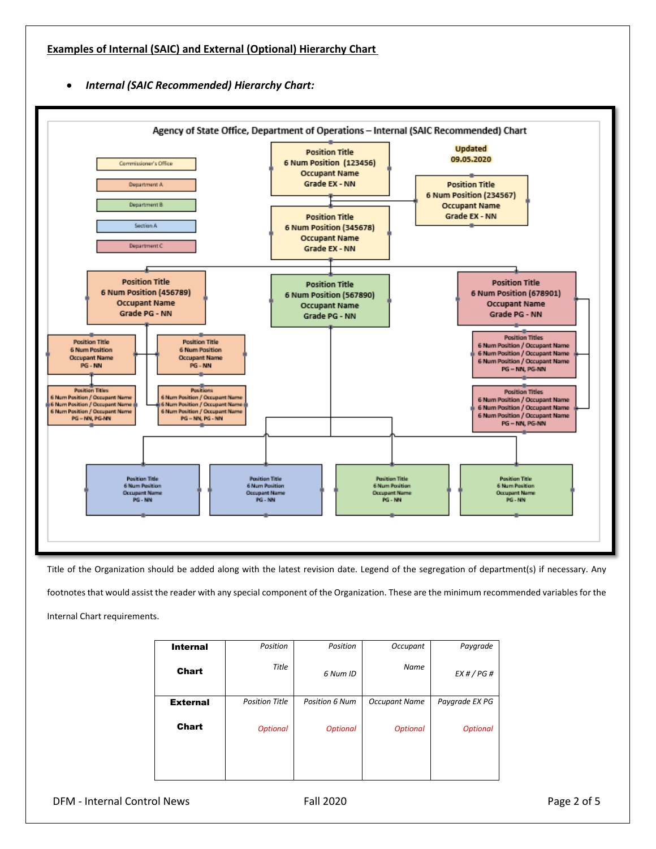• *Internal (SAIC Recommended) Hierarchy Chart:* 



Title of the Organization should be added along with the latest revision date. Legend of the segregation of department(s) if necessary. Any footnotes that would assist the reader with any special component of the Organization. These are the minimum recommended variables for the Internal Chart requirements.

| <b>Internal</b> | Position              | Position              | Occupant             | Paygrade        |
|-----------------|-----------------------|-----------------------|----------------------|-----------------|
| Chart           | Title                 | 6 Num ID              | <b>Name</b>          | EX#/PG#         |
| <b>External</b> | <b>Position Title</b> | <b>Position 6 Num</b> | <b>Occupant Name</b> | Paygrade EX PG  |
| <b>Chart</b>    | <b>Optional</b>       | <b>Optional</b>       | <b>Optional</b>      | <b>Optional</b> |
|                 |                       |                       |                      |                 |

DFM - Internal Control News Fall 2020 Page 2 of 5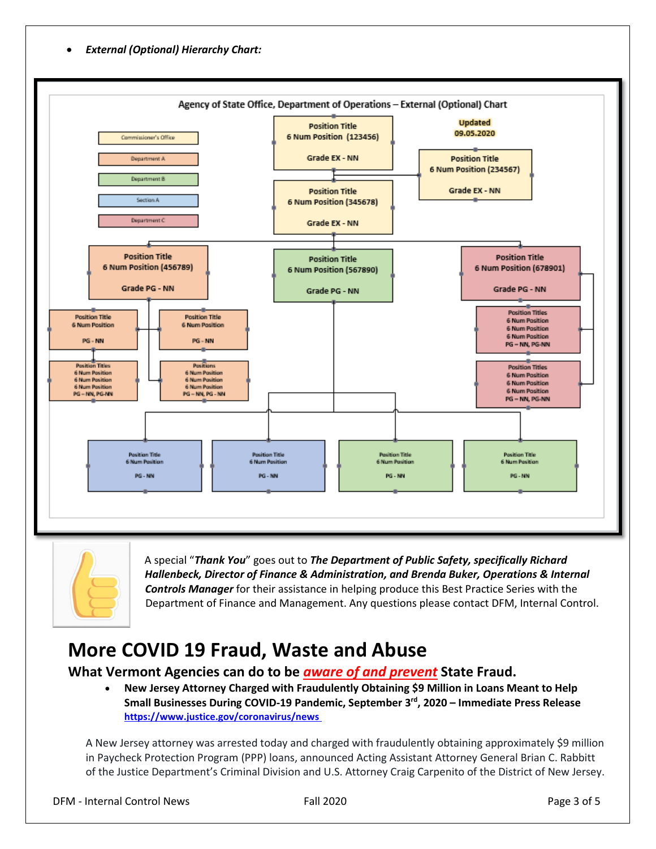• *External (Optional) Hierarchy Chart:* 





A special "*Thank You*" goes out to *The Department of Public Safety, specifically Richard Hallenbeck, Director of Finance & Administration, and Brenda Buker, Operations & Internal Controls Manager* for their assistance in helping produce this Best Practice Series with the Department of Finance and Management. Any questions please contact DFM, Internal Control.

## **More COVID 19 Fraud, Waste and Abuse**

#### **What Vermont Agencies can do to be** *aware of and prevent* **State Fraud.**

• **New Jersey Attorney Charged with Fraudulently Obtaining \$9 Million in Loans Meant to Help Small Businesses During COVID-19 Pandemic, September 3rd, 2020 – Immediate Press Release <https://www.justice.gov/coronavirus/news>**

A New Jersey attorney was arrested today and charged with fraudulently obtaining approximately \$9 million in Paycheck Protection Program (PPP) loans, announced Acting Assistant Attorney General Brian C. Rabbitt of the Justice Department's Criminal Division and U.S. Attorney Craig Carpenito of the District of New Jersey.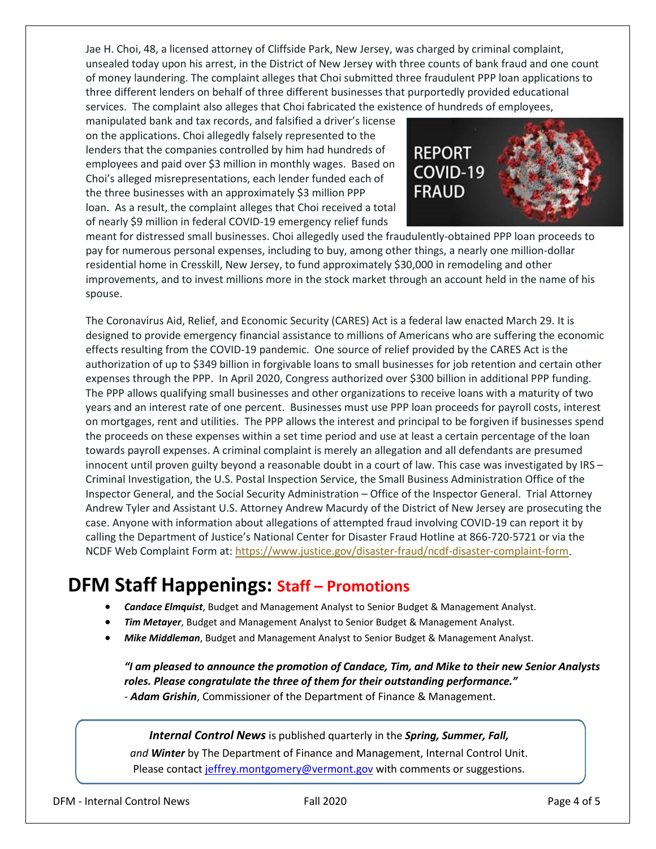Jae H. Choi, 48, a licensed attorney of Cliffside Park, New Jersey, was charged by criminal complaint, unsealed today upon his arrest, in the District of New Jersey with three counts of bank fraud and one count of money laundering. The complaint alleges that Choi submitted three fraudulent PPP loan applications to three different lenders on behalf of three different businesses that purportedly provided educational services. The complaint also alleges that Choi fabricated the existence of hundreds of employees,

manipulated bank and tax records, and falsified a driver's license on the applications. Choi allegedly falsely represented to the lenders that the companies controlled by him had hundreds of employees and paid over \$3 million in monthly wages. Based on Choi's alleged misrepresentations, each lender funded each of the three businesses with an approximately \$3 million PPP loan. As a result, the complaint alleges that Choi received a total of nearly \$9 million in federal COVID-19 emergency relief funds



meant for distressed small businesses. Choi allegedly used the fraudulently-obtained PPP loan proceeds to pay for numerous personal expenses, including to buy, among other things, a nearly one million-dollar residential home in Cresskill, New Jersey, to fund approximately \$30,000 in remodeling and other improvements, and to invest millions more in the stock market through an account held in the name of his spouse.

The Coronavirus Aid, Relief, and Economic Security (CARES) Act is a federal law enacted March 29. It is designed to provide emergency financial assistance to millions of Americans who are suffering the economic effects resulting from the COVID-19 pandemic. One source of relief provided by the CARES Act is the authorization of up to \$349 billion in forgivable loans to small businesses for job retention and certain other expenses through the PPP. In April 2020, Congress authorized over \$300 billion in additional PPP funding. The PPP allows qualifying small businesses and other organizations to receive loans with a maturity of two years and an interest rate of one percent. Businesses must use PPP loan proceeds for payroll costs, interest on mortgages, rent and utilities. The PPP allows the interest and principal to be forgiven if businesses spend the proceeds on these expenses within a set time period and use at least a certain percentage of the loan towards payroll expenses. A criminal complaint is merely an allegation and all defendants are presumed innocent until proven guilty beyond a reasonable doubt in a court of law. This case was investigated by IRS – Criminal Investigation, the U.S. Postal Inspection Service, the Small Business Administration Office of the Inspector General, and the Social Security Administration – Office of the Inspector General. Trial Attorney Andrew Tyler and Assistant U.S. Attorney Andrew Macurdy of the District of New Jersey are prosecuting the case. Anyone with information about allegations of attempted fraud involving COVID-19 can report it by calling the Department of Justice's National Center for Disaster Fraud Hotline at 866-720-5721 or via the NCDF Web Complaint Form at: [https://www.justice.gov/disaster-fraud/ncdf-disaster-complaint-form.](https://www.justice.gov/disaster-fraud/ncdf-disaster-complaint-form)

### **DFM Staff Happenings: Staff – Promotions**

- *Candace Elmquist*, Budget and Management Analyst to Senior Budget & Management Analyst.
- *Tim Metayer*, Budget and Management Analyst to Senior Budget & Management Analyst.
- *Mike Middleman*, Budget and Management Analyst to Senior Budget & Management Analyst.

### *"I am pleased to announce the promotion of Candace, Tim, and Mike to their new Senior Analysts roles. Please congratulate the three of them for their outstanding performance."*

- *Adam Grishin*, Commissioner of the Department of Finance & Management.

*Internal Control News* is published quarterly in the *Spring, Summer, Fall,* 

*and Winter* by The Department of Finance and Management, Internal Control Unit. Please contact [jeffrey.montgomery@vermont.gov](mailto:Jeffrey.Montgomery@vermont.gov) with comments or suggestions.